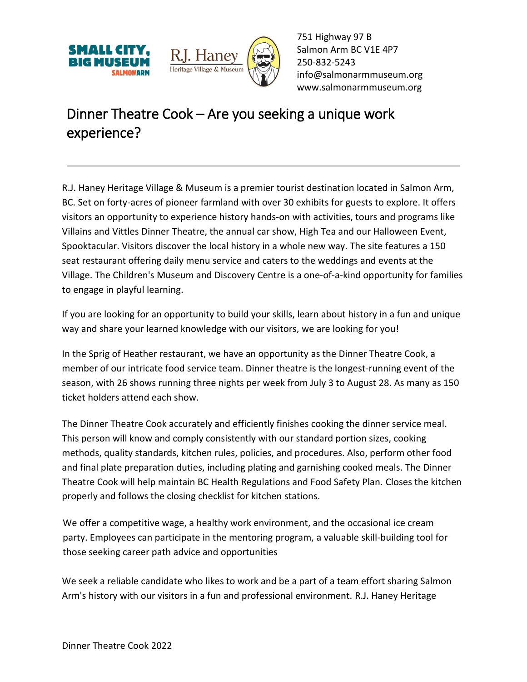



751 Highway 97 B Salmon Arm BC V1E 4P7 250-832-5243 [info@salmonarmmuseum.org](mailto:info@salmonarmmuseum.org) www.salmonarmmuseum.org

## Dinner Theatre Cook – Are you seeking a unique work experience?

R.J. Haney Heritage Village & Museum is a premier tourist destination located in Salmon Arm, BC. Set on forty-acres of pioneer farmland with over 30 exhibits for guests to explore. It offers visitors an opportunity to experience history hands-on with activities, tours and programs like Villains and Vittles Dinner Theatre, the annual car show, High Tea and our Halloween Event, Spooktacular. Visitors discover the local history in a whole new way. The site features a 150 seat restaurant offering daily menu service and caters to the weddings and events at the Village. The Children's Museum and Discovery Centre is a one-of-a-kind opportunity for families to engage in playful learning.

If you are looking for an opportunity to build your skills, learn about history in a fun and unique way and share your learned knowledge with our visitors, we are looking for you!

In the Sprig of Heather restaurant, we have an opportunity as the Dinner Theatre Cook, a member of our intricate food service team. Dinner theatre is the longest-running event of the season, with 26 shows running three nights per week from July 3 to August 28. As many as 150 ticket holders attend each show.

The Dinner Theatre Cook accurately and efficiently finishes cooking the dinner service meal. This person will know and comply consistently with our standard portion sizes, cooking methods, quality standards, kitchen rules, policies, and procedures. Also, perform other food and final plate preparation duties, including plating and garnishing cooked meals. The Dinner Theatre Cook will help maintain BC Health Regulations and Food Safety Plan. Closes the kitchen properly and follows the closing checklist for kitchen stations.

We offer a competitive wage, a healthy work environment, and the occasional ice cream party. Employees can participate in the mentoring program, a valuable skill-building tool for those seeking career path advice and opportunities

We seek a reliable candidate who likes to work and be a part of a team effort sharing Salmon Arm's history with our visitors in a fun and professional environment. R.J. Haney Heritage